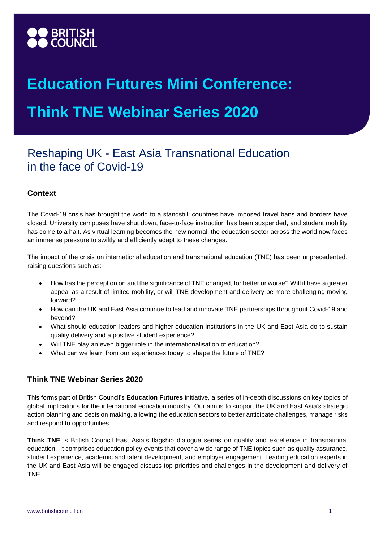

# **Education Futures Mini Conference: Think TNE Webinar Series 2020**

# Reshaping UK - East Asia Transnational Education in the face of Covid-19

## **Context**

The Covid-19 crisis has brought the world to a standstill: countries have imposed travel bans and borders have closed. University campuses have shut down, face-to-face instruction has been suspended, and student mobility has come to a halt. As virtual learning becomes the new normal, the education sector across the world now faces an immense pressure to swiftly and efficiently adapt to these changes.

The impact of the crisis on international education and transnational education (TNE) has been unprecedented, raising questions such as:

- How has the perception on and the significance of TNE changed, for better or worse? Will it have a greater appeal as a result of limited mobility, or will TNE development and delivery be more challenging moving forward?
- How can the UK and East Asia continue to lead and innovate TNE partnerships throughout Covid-19 and beyond?
- What should education leaders and higher education institutions in the UK and East Asia do to sustain quality delivery and a positive student experience?
- Will TNE play an even bigger role in the internationalisation of education?
- What can we learn from our experiences today to shape the future of TNE?

### **Think TNE Webinar Series 2020**

This forms part of British Council's **Education Futures** initiative*,* a series of in-depth discussions on key topics of global implications for the international education industry. Our aim is to support the UK and East Asia's strategic action planning and decision making, allowing the education sectors to better anticipate challenges, manage risks and respond to opportunities.

**Think TNE** is British Council East Asia's flagship dialogue series on quality and excellence in transnational education. It comprises education policy events that cover a wide range of TNE topics such as quality assurance, student experience, academic and talent development, and employer engagement. Leading education experts in the UK and East Asia will be engaged discuss top priorities and challenges in the development and delivery of TNE.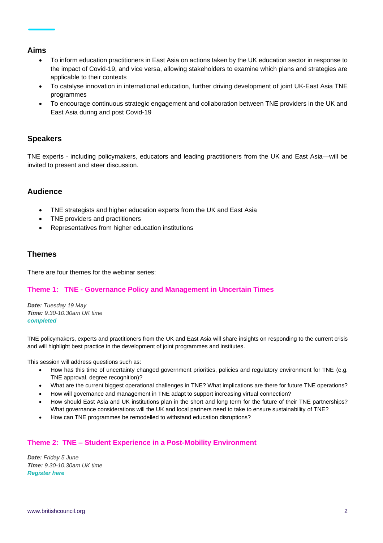#### **Aims**

- To inform education practitioners in East Asia on actions taken by the UK education sector in response to the impact of Covid-19, and vice versa, allowing stakeholders to examine which plans and strategies are applicable to their contexts
- To catalyse innovation in international education, further driving development of joint UK-East Asia TNE programmes
- To encourage continuous strategic engagement and collaboration between TNE providers in the UK and East Asia during and post Covid-19

#### **Speakers**

TNE experts - including policymakers, educators and leading practitioners from the UK and East Asia—will be invited to present and steer discussion.

#### **Audience**

- TNE strategists and higher education experts from the UK and East Asia
- TNE providers and practitioners
- Representatives from higher education institutions

#### **Themes**

There are four themes for the webinar series:

#### **Theme 1: TNE - Governance Policy and Management in Uncertain Times**

*Date: Tuesday 19 May Time: 9.30-10.30am UK time completed*

TNE policymakers, experts and practitioners from the UK and East Asia will share insights on responding to the current crisis and will highlight best practice in the development of joint programmes and institutes.

This session will address questions such as:

- How has this time of uncertainty changed government priorities, policies and regulatory environment for TNE (e.g. TNE approval, degree recognition)?
- What are the current biggest operational challenges in TNE? What implications are there for future TNE operations?
- How will governance and management in TNE adapt to support increasing virtual connection?
- How should East Asia and UK institutions plan in the short and long term for the future of their TNE partnerships? What governance considerations will the UK and local partners need to take to ensure sustainability of TNE?
- How can TNE programmes be remodelled to withstand education disruptions?

#### **Theme 2: TNE – Student Experience in a Post-Mobility Environment**

*Date: Friday 5 June Time: 9.30-10.30am UK time [Register here](https://forms.office.com/Pages/ResponsePage.aspx?id=wXVirt3MRkCyoWJFosyj7LrSUuZCf4dIvqdHrZ2vJIhUM1RIN1A4Rjg3ME9BR0lUMDA4NkNMUTBUUy4u)*